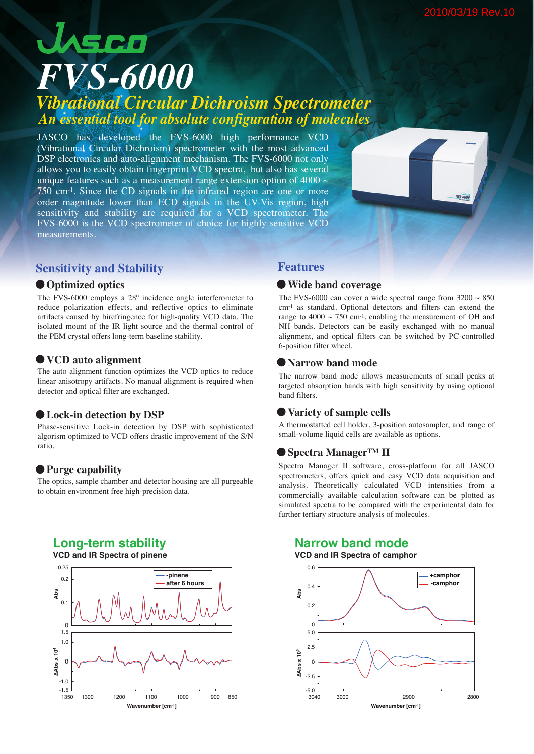# JASCO *FVS-6000 Vibrational Circular Dichroism Spectrometer An essential tool for absolute configuration of molecules*

JASCO has developed the FVS-6000 high performance VCD (Vibrational Circular Dichroism) spectrometer with the most advanced DSP electronics and auto-alignment mechanism. The FVS-6000 not only allows you to easily obtain fingerprint VCD spectra, but also has several unique features such as a measurement range extension option of 4000  $\sim$ 750 cm-1. Since the CD signals in the infrared region are one or more order magnitude lower than ECD signals in the UV-Vis region, high sensitivity and stability are required for a VCD spectrometer. The FVS-6000 is the VCD spectrometer of choice for highly sensitive VCD measurements.

### **Sensitivity and Stability <b>Features**

#### **Optimized optics**

The FVS-6000 employs a  $28^\circ$  incidence angle interferometer to reduce polarization effects, and reflective optics to eliminate artifacts caused by birefringence for high-quality VCD data. The isolated mount of the IR light source and the thermal control of the PEM crystal offers long-term baseline stability.

#### **VCD auto alignment**

The auto alignment function optimizes the VCD optics to reduce linear anisotropy artifacts. No manual alignment is required when detector and optical filter are exchanged.

#### **Lock-in detection by DSP**

Phase-sensitive Lock-in detection by DSP with sophisticated algorism optimized to VCD offers drastic improvement of the S/N ratio.

#### **Purge capability**

The optics, sample chamber and detector housing are all purgeable to obtain environment free high-precision data.

## **Long-term stability**



#### **Wide band coverage**

The FVS-6000 can cover a wide spectral range from  $3200 \sim 850$ cm-1 as standard. Optional detectors and filters can extend the range to  $4000 \sim 750$  cm<sup>-1</sup>, enabling the measurement of OH and NH bands. Detectors can be easily exchanged with no manual alignment, and optical filters can be switched by PC-controlled 6-position filter wheel.

#### **Narrow band mode**

The narrow band mode allows measurements of small peaks at targeted absorption bands with high sensitivity by using optional band filters.

#### **Variety of sample cells**

A thermostatted cell holder, 3-position autosampler, and range of small-volume liquid cells are available as options.

### **Spectra ManagerTM II**

Spectra Manager II software, cross-platform for all JASCO spectrometers, offers quick and easy VCD data acquisition and analysis. Theoretically calculated VCD intensities from a commercially available calculation software can be plotted as simulated spectra to be compared with the experimental data for further tertiary structure analysis of molecules.

# **Narrow band mode**

#### **VCD and IR Spectra of camphor**